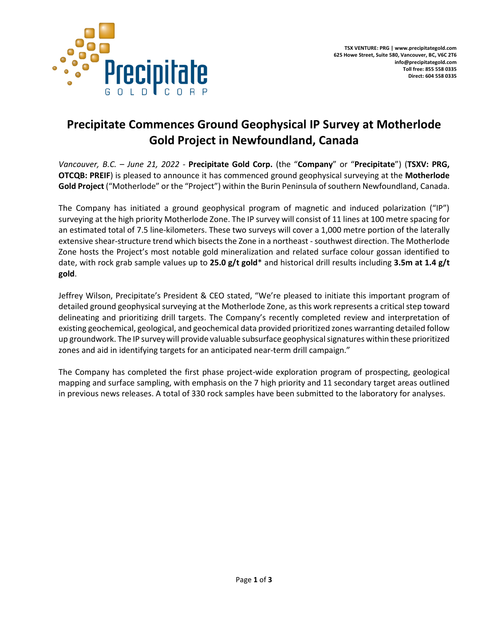

# **Precipitate Commences Ground Geophysical IP Survey at Motherlode Gold Project in Newfoundland, Canada**

*Vancouver, B.C. – June 21, 2022 -* **Precipitate Gold Corp.** (the "**Company**" or "**Precipitate**") (**TSXV: PRG, OTCQB: PREIF**) is pleased to announce it has commenced ground geophysical surveying at the **Motherlode Gold Project** ("Motherlode" or the "Project") within the Burin Peninsula of southern Newfoundland, Canada.

The Company has initiated a ground geophysical program of magnetic and induced polarization ("IP") surveying at the high priority Motherlode Zone. The IP survey will consist of 11 lines at 100 metre spacing for an estimated total of 7.5 line-kilometers. These two surveys will cover a 1,000 metre portion of the laterally extensive shear-structure trend which bisects the Zone in a northeast - southwest direction. The Motherlode Zone hosts the Project's most notable gold mineralization and related surface colour gossan identified to date, with rock grab sample values up to **25.0 g/t gold**\* and historical drill results including **3.5m at 1.4 g/t gold**.

Jeffrey Wilson, Precipitate's President & CEO stated, "We're pleased to initiate this important program of detailed ground geophysical surveying at the Motherlode Zone, as this work represents a critical step toward delineating and prioritizing drill targets. The Company's recently completed review and interpretation of existing geochemical, geological, and geochemical data provided prioritized zones warranting detailed follow up groundwork. The IP survey will provide valuable subsurface geophysical signatures within these prioritized zones and aid in identifying targets for an anticipated near-term drill campaign."

The Company has completed the first phase project-wide exploration program of prospecting, geological mapping and surface sampling, with emphasis on the 7 high priority and 11 secondary target areas outlined in previous news releases. A total of 330 rock samples have been submitted to the laboratory for analyses.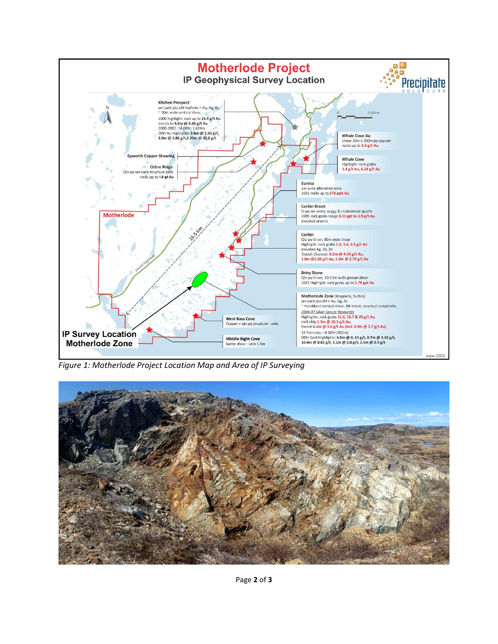

*Figure 1: Motherlode Project Location Map and Area of IP Surveying*